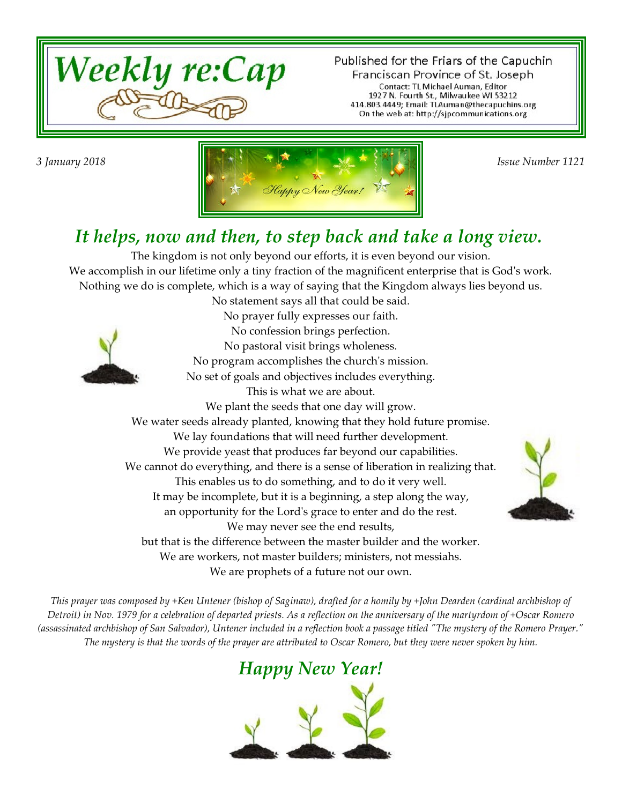

Published for the Friars of the Capuchin Franciscan Province of St. Joseph Contact: TL Michael Auman, Editor 1927 N. Fourth St., Milwaukee WI 53212<br>414.803.4449; Email: TLAuman@thecapuchins.org On the web at: http://sjpcommunications.org



#### *It helps, now and then, to step back and take a long view.*

The kingdom is not only beyond our efforts, it is even beyond our vision. We accomplish in our lifetime only a tiny fraction of the magnificent enterprise that is God's work. Nothing we do is complete, which is a way of saying that the Kingdom always lies beyond us. No statement says all that could be said.



No prayer fully expresses our faith. No confession brings perfection. No pastoral visit brings wholeness. No program accomplishes the church's mission. No set of goals and objectives includes everything. This is what we are about. We plant the seeds that one day will grow. We water seeds already planted, knowing that they hold future promise. We lay foundations that will need further development. We provide yeast that produces far beyond our capabilities. We cannot do everything, and there is a sense of liberation in realizing that. This enables us to do something, and to do it very well. It may be incomplete, but it is a beginning, a step along the way, an opportunity for the Lord's grace to enter and do the rest. We may never see the end results, but that is the difference between the master builder and the worker. We are workers, not master builders; ministers, not messiahs. We are prophets of a future not our own.



*This prayer was composed by +Ken Untener (bishop of Saginaw), drafted for a homily by +John Dearden (cardinal archbishop of Detroit) in Nov. 1979 for a celebration of departed priests. As a reflection on the anniversary of the martyrdom of +Oscar Romero (assassinated archbishop of San Salvador), Untener included in a reflection book a passage titled "The mystery of the Romero Prayer." The mystery is that the words of the prayer are attributed to Oscar Romero, but they were never spoken by him.*

#### *Happy New Year!*

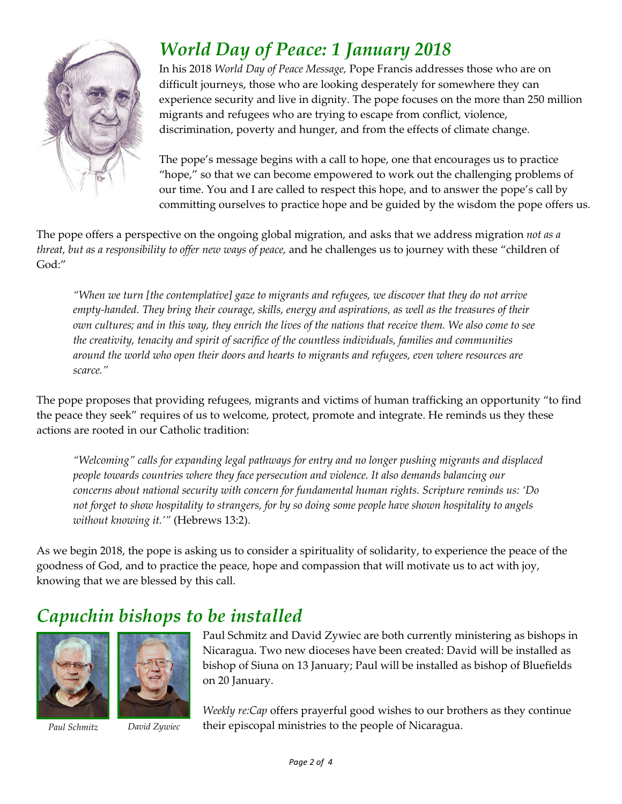

## *World Day of Peace: 1 January 2018*

In his 2018 *World Day of Peace Message,* Pope Francis addresses those who are on difficult journeys, those who are looking desperately for somewhere they can experience security and live in dignity. The pope focuses on the more than 250 million migrants and refugees who are trying to escape from conflict, violence, discrimination, poverty and hunger, and from the effects of climate change.

The pope's message begins with a call to hope, one that encourages us to practice "hope," so that we can become empowered to work out the challenging problems of our time. You and I are called to respect this hope, and to answer the pope's call by committing ourselves to practice hope and be guided by the wisdom the pope offers us.

The pope offers a perspective on the ongoing global migration, and asks that we address migration *not as a threat, but as a responsibility to offer new ways of peace,* and he challenges us to journey with these "children of God:"

*"When we turn [the contemplative] gaze to migrants and refugees, we discover that they do not arrive empty-handed. They bring their courage, skills, energy and aspirations, as well as the treasures of their own cultures; and in this way, they enrich the lives of the nations that receive them. We also come to see the creativity, tenacity and spirit of sacrifice of the countless individuals, families and communities around the world who open their doors and hearts to migrants and refugees, even where resources are scarce."*

The pope proposes that providing refugees, migrants and victims of human trafficking an opportunity "to find the peace they seek" requires of us to welcome, protect, promote and integrate. He reminds us they these actions are rooted in our Catholic tradition:

*"Welcoming" calls for expanding legal pathways for entry and no longer pushing migrants and displaced people towards countries where they face persecution and violence. It also demands balancing our concerns about national security with concern for fundamental human rights. Scripture reminds us: 'Do not forget to show hospitality to strangers, for by so doing some people have shown hospitality to angels without knowing it.'"* (Hebrews 13:2).

As we begin 2018, the pope is asking us to consider a spirituality of solidarity, to experience the peace of the goodness of God, and to practice the peace, hope and compassion that will motivate us to act with joy, knowing that we are blessed by this call.

## *Capuchin bishops to be installed*





*Paul Schmitz David Zywiec*

Paul Schmitz and David Zywiec are both currently ministering as bishops in Nicaragua. Two new dioceses have been created: David will be installed as bishop of Siuna on 13 January; Paul will be installed as bishop of Bluefields on 20 January.

*Weekly re:Cap* offers prayerful good wishes to our brothers as they continue their episcopal ministries to the people of Nicaragua.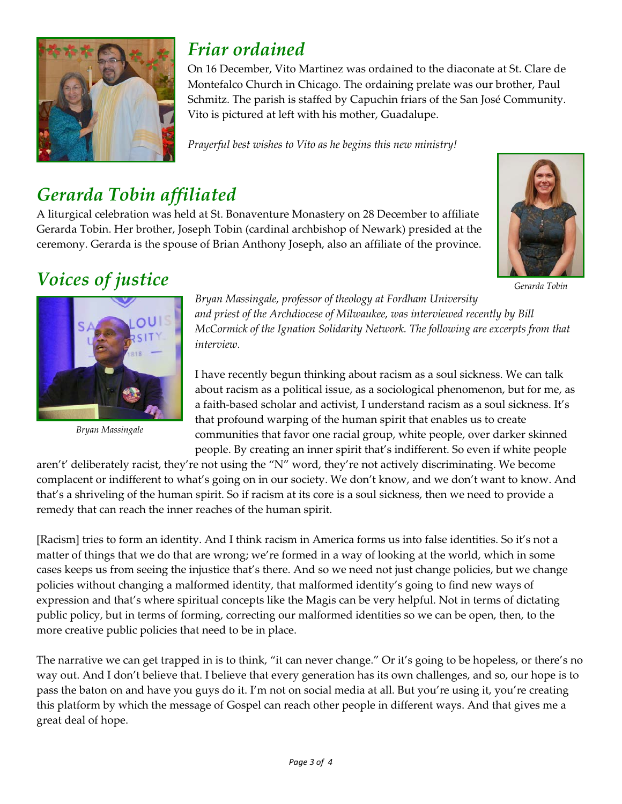

### *Friar ordained*

On 16 December, Vito Martinez was ordained to the diaconate at St. Clare de Montefalco Church in Chicago. The ordaining prelate was our brother, Paul Schmitz. The parish is staffed by Capuchin friars of the San José Community. Vito is pictured at left with his mother, Guadalupe.

*Prayerful best wishes to Vito as he begins this new ministry!*

# *Gerarda Tobin affiliated*

A liturgical celebration was held at St. Bonaventure Monastery on 28 December to affiliate Gerarda Tobin. Her brother, Joseph Tobin (cardinal archbishop of Newark) presided at the ceremony. Gerarda is the spouse of Brian Anthony Joseph, also an affiliate of the province.



*Gerarda Tobin*



*Bryan Massingale*

*Bryan Massingale, professor of theology at Fordham University and priest of the Archdiocese of Milwaukee, was interviewed recently by Bill McCormick of the Ignation Solidarity Network. The following are excerpts from that interview.*

I have recently begun thinking about racism as a soul sickness. We can talk about racism as a political issue, as a sociological phenomenon, but for me, as a faith-based scholar and activist, I understand racism as a soul sickness. It's that profound warping of the human spirit that enables us to create communities that favor one racial group, white people, over darker skinned people. By creating an inner spirit that's indifferent. So even if white people

aren't' deliberately racist, they're not using the "N" word, they're not actively discriminating. We become complacent or indifferent to what's going on in our society. We don't know, and we don't want to know. And that's a shriveling of the human spirit. So if racism at its core is a soul sickness, then we need to provide a remedy that can reach the inner reaches of the human spirit.

[Racism] tries to form an identity. And I think racism in America forms us into false identities. So it's not a matter of things that we do that are wrong; we're formed in a way of looking at the world, which in some cases keeps us from seeing the injustice that's there. And so we need not just change policies, but we change policies without changing a malformed identity, that malformed identity's going to find new ways of expression and that's where spiritual concepts like the Magis can be very helpful. Not in terms of dictating public policy, but in terms of forming, correcting our malformed identities so we can be open, then, to the more creative public policies that need to be in place.

The narrative we can get trapped in is to think, "it can never change." Or it's going to be hopeless, or there's no way out. And I don't believe that. I believe that every generation has its own challenges, and so, our hope is to pass the baton on and have you guys do it. I'm not on social media at all. But you're using it, you're creating this platform by which the message of Gospel can reach other people in different ways. And that gives me a great deal of hope.